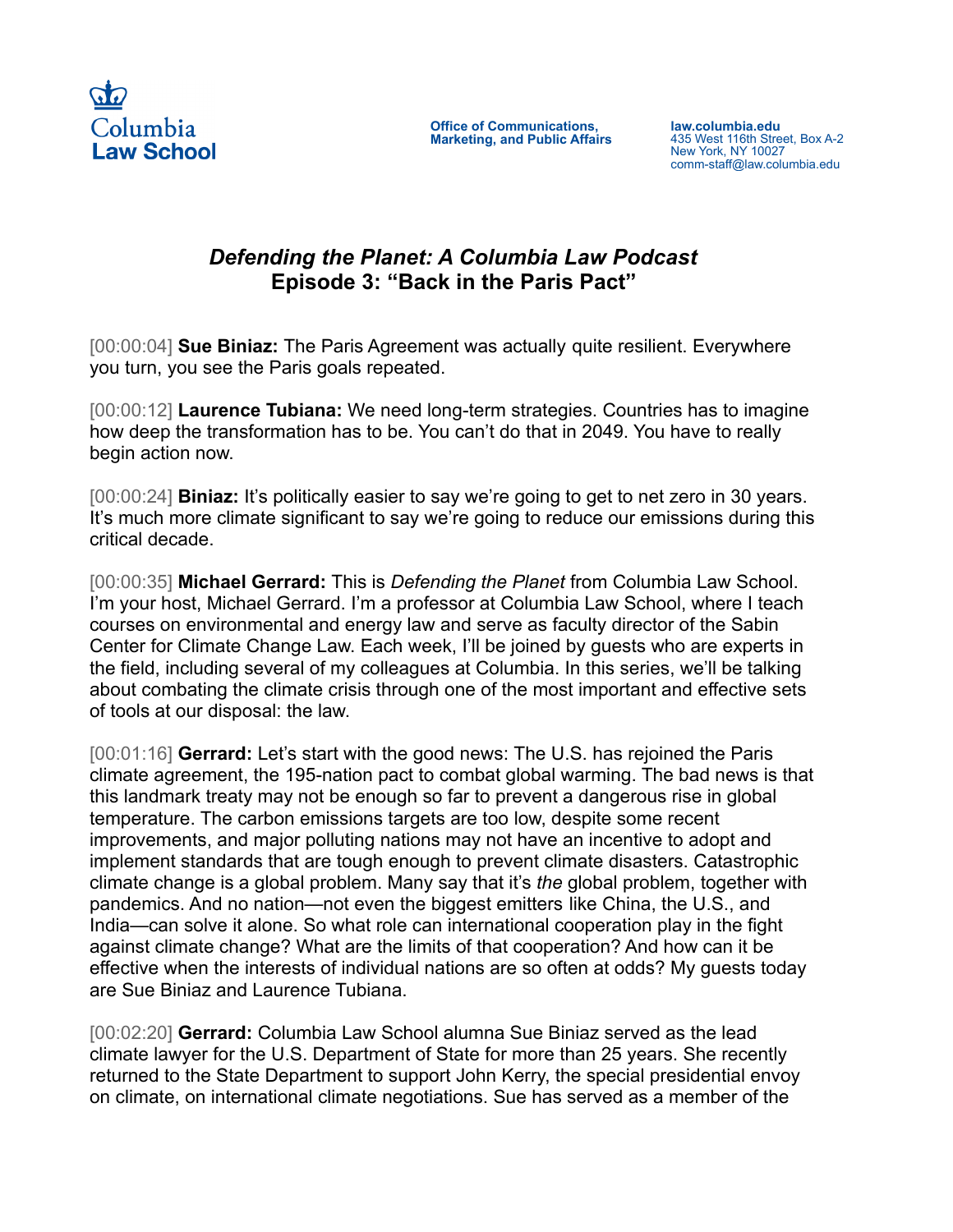

**Office of Communications, Marketing, and Public Affairs** **law.columbia.edu** 435 West 116th Street, Box A-2 New York, NY 10027 comm-staff@law.columbia.edu

## *Defending the Planet: A Columbia Law Podcast* **Episode 3: "Back in the Paris Pact"**

[00:00:04] **Sue Biniaz:** The Paris Agreement was actually quite resilient. Everywhere you turn, you see the Paris goals repeated.

[00:00:12] **Laurence Tubiana:** We need long-term strategies. Countries has to imagine how deep the transformation has to be. You can't do that in 2049. You have to really begin action now.

[00:00:24] **Biniaz:** It's politically easier to say we're going to get to net zero in 30 years. It's much more climate significant to say we're going to reduce our emissions during this critical decade.

[00:00:35] **Michael Gerrard:** This is *Defending the Planet* from Columbia Law School. I'm your host, Michael Gerrard. I'm a professor at Columbia Law School, where I teach courses on environmental and energy law and serve as faculty director of the Sabin Center for Climate Change Law. Each week, I'll be joined by guests who are experts in the field, including several of my colleagues at Columbia. In this series, we'll be talking about combating the climate crisis through one of the most important and effective sets of tools at our disposal: the law.

[00:01:16] **Gerrard:** Let's start with the good news: The U.S. has rejoined the Paris climate agreement, the 195-nation pact to combat global warming. The bad news is that this landmark treaty may not be enough so far to prevent a dangerous rise in global temperature. The carbon emissions targets are too low, despite some recent improvements, and major polluting nations may not have an incentive to adopt and implement standards that are tough enough to prevent climate disasters. Catastrophic climate change is a global problem. Many say that it's *the* global problem, together with pandemics. And no nation—not even the biggest emitters like China, the U.S., and India—can solve it alone. So what role can international cooperation play in the fight against climate change? What are the limits of that cooperation? And how can it be effective when the interests of individual nations are so often at odds? My guests today are Sue Biniaz and Laurence Tubiana.

[00:02:20] **Gerrard:** Columbia Law School alumna Sue Biniaz served as the lead climate lawyer for the U.S. Department of State for more than 25 years. She recently returned to the State Department to support John Kerry, the special presidential envoy on climate, on international climate negotiations. Sue has served as a member of the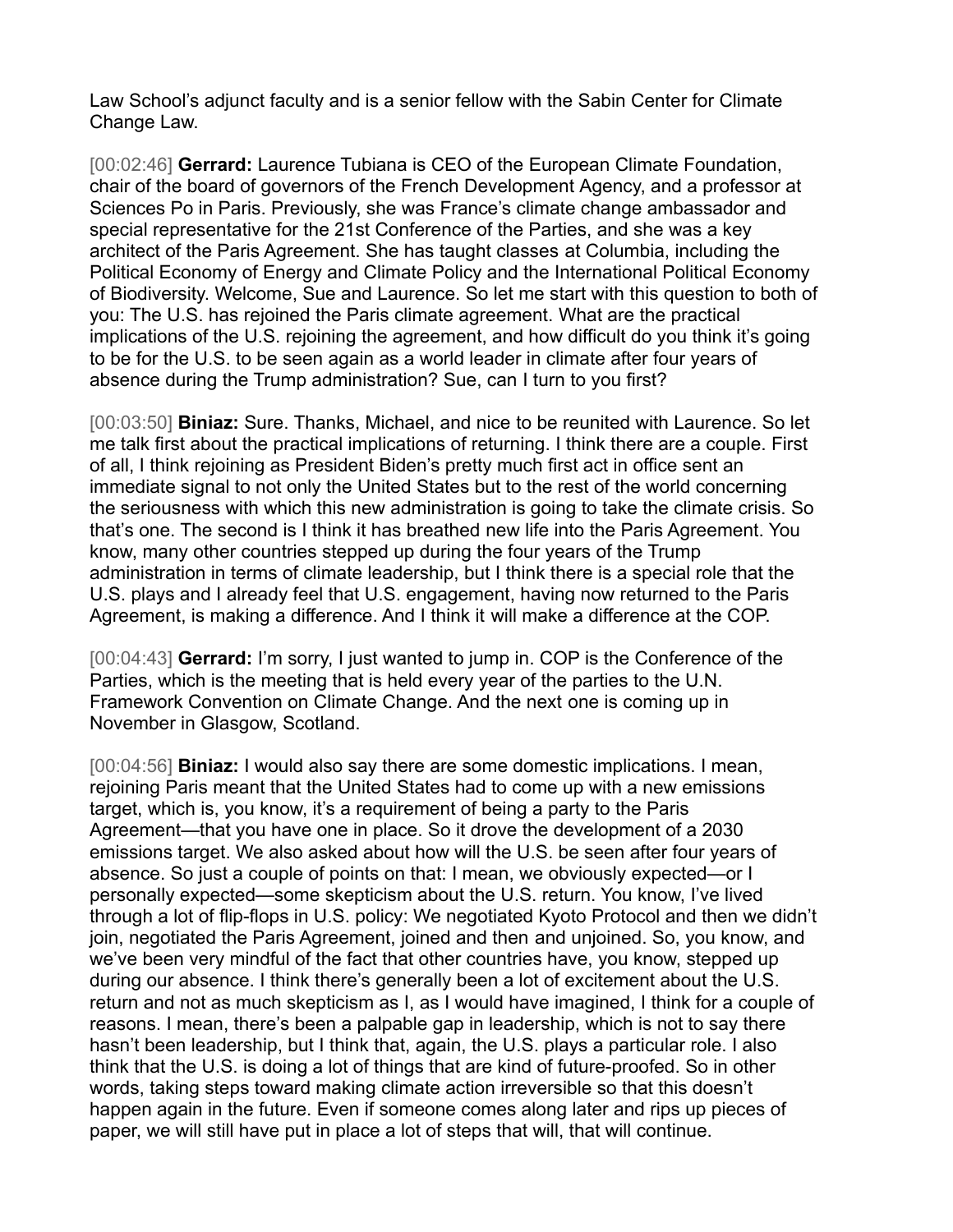Law School's adjunct faculty and is a senior fellow with the Sabin Center for Climate Change Law.

[00:02:46] **Gerrard:** Laurence Tubiana is CEO of the European Climate Foundation, chair of the board of governors of the French Development Agency, and a professor at Sciences Po in Paris. Previously, she was France's climate change ambassador and special representative for the 21st Conference of the Parties, and she was a key architect of the Paris Agreement. She has taught classes at Columbia, including the Political Economy of Energy and Climate Policy and the International Political Economy of Biodiversity. Welcome, Sue and Laurence. So let me start with this question to both of you: The U.S. has rejoined the Paris climate agreement. What are the practical implications of the U.S. rejoining the agreement, and how difficult do you think it's going to be for the U.S. to be seen again as a world leader in climate after four years of absence during the Trump administration? Sue, can I turn to you first?

[00:03:50] **Biniaz:** Sure. Thanks, Michael, and nice to be reunited with Laurence. So let me talk first about the practical implications of returning. I think there are a couple. First of all, I think rejoining as President Biden's pretty much first act in office sent an immediate signal to not only the United States but to the rest of the world concerning the seriousness with which this new administration is going to take the climate crisis. So that's one. The second is I think it has breathed new life into the Paris Agreement. You know, many other countries stepped up during the four years of the Trump administration in terms of climate leadership, but I think there is a special role that the U.S. plays and I already feel that U.S. engagement, having now returned to the Paris Agreement, is making a difference. And I think it will make a difference at the COP.

[00:04:43] **Gerrard:** I'm sorry, I just wanted to jump in. COP is the Conference of the Parties, which is the meeting that is held every year of the parties to the U.N. Framework Convention on Climate Change. And the next one is coming up in November in Glasgow, Scotland.

[00:04:56] **Biniaz:** I would also say there are some domestic implications. I mean, rejoining Paris meant that the United States had to come up with a new emissions target, which is, you know, it's a requirement of being a party to the Paris Agreement—that you have one in place. So it drove the development of a 2030 emissions target. We also asked about how will the U.S. be seen after four years of absence. So just a couple of points on that: I mean, we obviously expected—or I personally expected—some skepticism about the U.S. return. You know, I've lived through a lot of flip-flops in U.S. policy: We negotiated Kyoto Protocol and then we didn't join, negotiated the Paris Agreement, joined and then and unjoined. So, you know, and we've been very mindful of the fact that other countries have, you know, stepped up during our absence. I think there's generally been a lot of excitement about the U.S. return and not as much skepticism as I, as I would have imagined, I think for a couple of reasons. I mean, there's been a palpable gap in leadership, which is not to say there hasn't been leadership, but I think that, again, the U.S. plays a particular role. I also think that the U.S. is doing a lot of things that are kind of future-proofed. So in other words, taking steps toward making climate action irreversible so that this doesn't happen again in the future. Even if someone comes along later and rips up pieces of paper, we will still have put in place a lot of steps that will, that will continue.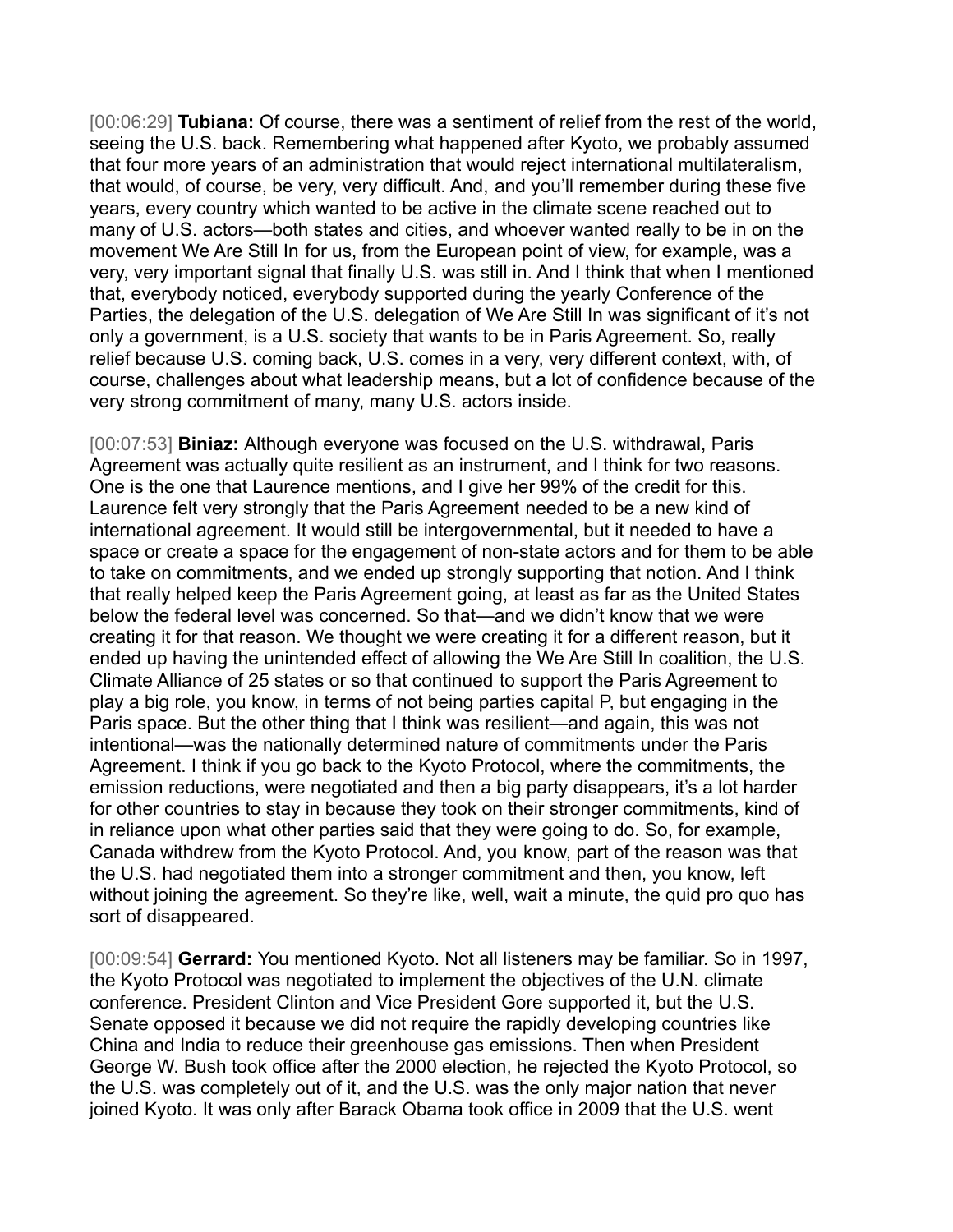[00:06:29] **Tubiana:** Of course, there was a sentiment of relief from the rest of the world, seeing the U.S. back. Remembering what happened after Kyoto, we probably assumed that four more years of an administration that would reject international multilateralism, that would, of course, be very, very difficult. And, and you'll remember during these five years, every country which wanted to be active in the climate scene reached out to many of U.S. actors—both states and cities, and whoever wanted really to be in on the movement We Are Still In for us, from the European point of view, for example, was a very, very important signal that finally U.S. was still in. And I think that when I mentioned that, everybody noticed, everybody supported during the yearly Conference of the Parties, the delegation of the U.S. delegation of We Are Still In was significant of it's not only a government, is a U.S. society that wants to be in Paris Agreement. So, really relief because U.S. coming back, U.S. comes in a very, very different context, with, of course, challenges about what leadership means, but a lot of confidence because of the very strong commitment of many, many U.S. actors inside.

[00:07:53] **Biniaz:** Although everyone was focused on the U.S. withdrawal, Paris Agreement was actually quite resilient as an instrument, and I think for two reasons. One is the one that Laurence mentions, and I give her 99% of the credit for this. Laurence felt very strongly that the Paris Agreement needed to be a new kind of international agreement. It would still be intergovernmental, but it needed to have a space or create a space for the engagement of non-state actors and for them to be able to take on commitments, and we ended up strongly supporting that notion. And I think that really helped keep the Paris Agreement going, at least as far as the United States below the federal level was concerned. So that—and we didn't know that we were creating it for that reason. We thought we were creating it for a different reason, but it ended up having the unintended effect of allowing the We Are Still In coalition, the U.S. Climate Alliance of 25 states or so that continued to support the Paris Agreement to play a big role, you know, in terms of not being parties capital P, but engaging in the Paris space. But the other thing that I think was resilient—and again, this was not intentional—was the nationally determined nature of commitments under the Paris Agreement. I think if you go back to the Kyoto Protocol, where the commitments, the emission reductions, were negotiated and then a big party disappears, it's a lot harder for other countries to stay in because they took on their stronger commitments, kind of in reliance upon what other parties said that they were going to do. So, for example, Canada withdrew from the Kyoto Protocol. And, you know, part of the reason was that the U.S. had negotiated them into a stronger commitment and then, you know, left without joining the agreement. So they're like, well, wait a minute, the quid pro quo has sort of disappeared.

[00:09:54] **Gerrard:** You mentioned Kyoto. Not all listeners may be familiar. So in 1997, the Kyoto Protocol was negotiated to implement the objectives of the U.N. climate conference. President Clinton and Vice President Gore supported it, but the U.S. Senate opposed it because we did not require the rapidly developing countries like China and India to reduce their greenhouse gas emissions. Then when President George W. Bush took office after the 2000 election, he rejected the Kyoto Protocol, so the U.S. was completely out of it, and the U.S. was the only major nation that never joined Kyoto. It was only after Barack Obama took office in 2009 that the U.S. went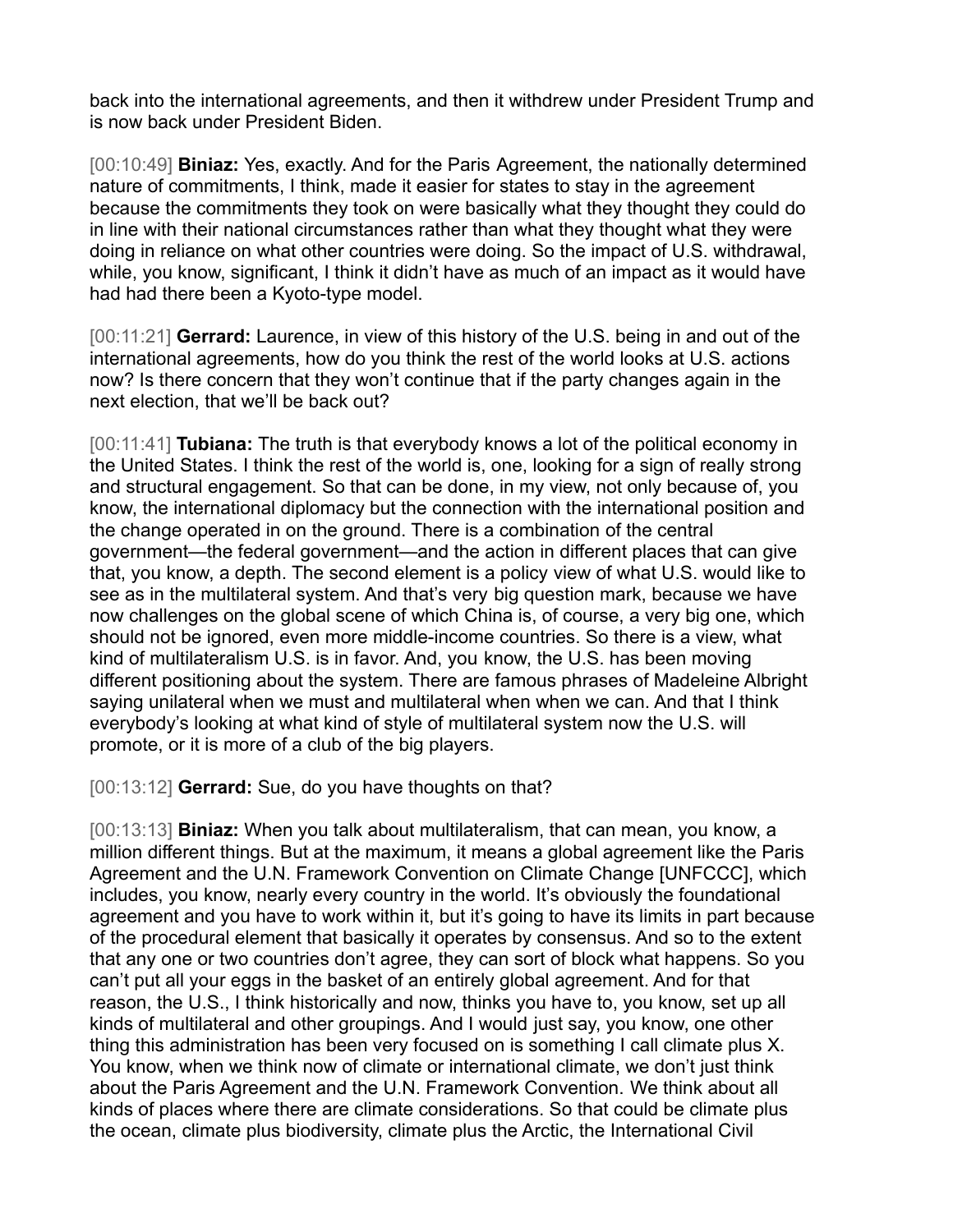back into the international agreements, and then it withdrew under President Trump and is now back under President Biden.

[00:10:49] **Biniaz:** Yes, exactly. And for the Paris Agreement, the nationally determined nature of commitments, I think, made it easier for states to stay in the agreement because the commitments they took on were basically what they thought they could do in line with their national circumstances rather than what they thought what they were doing in reliance on what other countries were doing. So the impact of U.S. withdrawal, while, you know, significant, I think it didn't have as much of an impact as it would have had had there been a Kyoto-type model.

[00:11:21] **Gerrard:** Laurence, in view of this history of the U.S. being in and out of the international agreements, how do you think the rest of the world looks at U.S. actions now? Is there concern that they won't continue that if the party changes again in the next election, that we'll be back out?

[00:11:41] **Tubiana:** The truth is that everybody knows a lot of the political economy in the United States. I think the rest of the world is, one, looking for a sign of really strong and structural engagement. So that can be done, in my view, not only because of, you know, the international diplomacy but the connection with the international position and the change operated in on the ground. There is a combination of the central government—the federal government—and the action in different places that can give that, you know, a depth. The second element is a policy view of what U.S. would like to see as in the multilateral system. And that's very big question mark, because we have now challenges on the global scene of which China is, of course, a very big one, which should not be ignored, even more middle-income countries. So there is a view, what kind of multilateralism U.S. is in favor. And, you know, the U.S. has been moving different positioning about the system. There are famous phrases of Madeleine Albright saying unilateral when we must and multilateral when when we can. And that I think everybody's looking at what kind of style of multilateral system now the U.S. will promote, or it is more of a club of the big players.

[00:13:12] **Gerrard:** Sue, do you have thoughts on that?

[00:13:13] **Biniaz:** When you talk about multilateralism, that can mean, you know, a million different things. But at the maximum, it means a global agreement like the Paris Agreement and the U.N. Framework Convention on Climate Change [UNFCCC], which includes, you know, nearly every country in the world. It's obviously the foundational agreement and you have to work within it, but it's going to have its limits in part because of the procedural element that basically it operates by consensus. And so to the extent that any one or two countries don't agree, they can sort of block what happens. So you can't put all your eggs in the basket of an entirely global agreement. And for that reason, the U.S., I think historically and now, thinks you have to, you know, set up all kinds of multilateral and other groupings. And I would just say, you know, one other thing this administration has been very focused on is something I call climate plus X. You know, when we think now of climate or international climate, we don't just think about the Paris Agreement and the U.N. Framework Convention. We think about all kinds of places where there are climate considerations. So that could be climate plus the ocean, climate plus biodiversity, climate plus the Arctic, the International Civil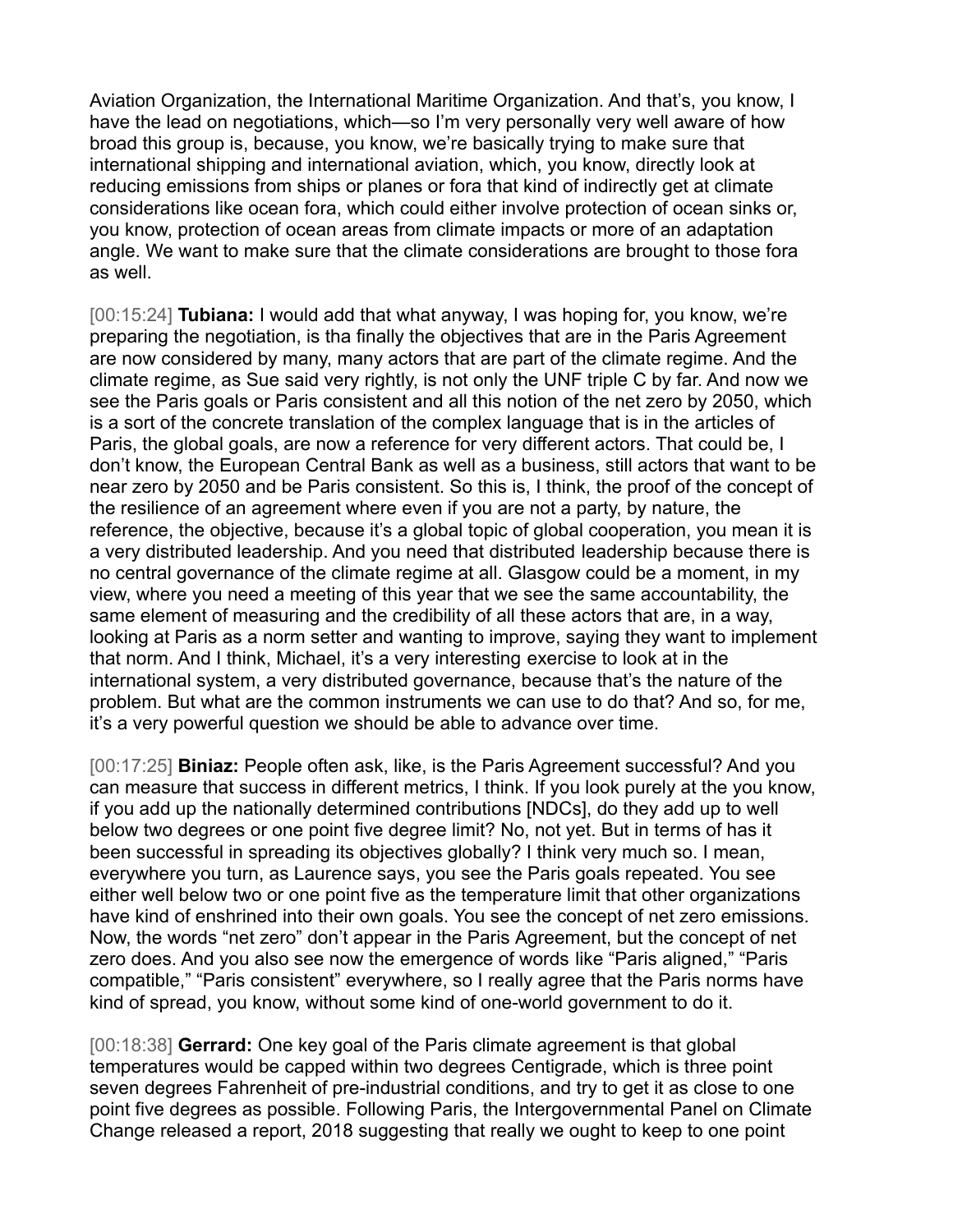Aviation Organization, the International Maritime Organization. And that's, you know, I have the lead on negotiations, which—so I'm very personally very well aware of how broad this group is, because, you know, we're basically trying to make sure that international shipping and international aviation, which, you know, directly look at reducing emissions from ships or planes or fora that kind of indirectly get at climate considerations like ocean fora, which could either involve protection of ocean sinks or, you know, protection of ocean areas from climate impacts or more of an adaptation angle. We want to make sure that the climate considerations are brought to those fora as well.

[00:15:24] **Tubiana:** I would add that what anyway, I was hoping for, you know, we're preparing the negotiation, is tha finally the objectives that are in the Paris Agreement are now considered by many, many actors that are part of the climate regime. And the climate regime, as Sue said very rightly, is not only the UNF triple C by far. And now we see the Paris goals or Paris consistent and all this notion of the net zero by 2050, which is a sort of the concrete translation of the complex language that is in the articles of Paris, the global goals, are now a reference for very different actors. That could be, I don't know, the European Central Bank as well as a business, still actors that want to be near zero by 2050 and be Paris consistent. So this is, I think, the proof of the concept of the resilience of an agreement where even if you are not a party, by nature, the reference, the objective, because it's a global topic of global cooperation, you mean it is a very distributed leadership. And you need that distributed leadership because there is no central governance of the climate regime at all. Glasgow could be a moment, in my view, where you need a meeting of this year that we see the same accountability, the same element of measuring and the credibility of all these actors that are, in a way, looking at Paris as a norm setter and wanting to improve, saying they want to implement that norm. And I think, Michael, it's a very interesting exercise to look at in the international system, a very distributed governance, because that's the nature of the problem. But what are the common instruments we can use to do that? And so, for me, it's a very powerful question we should be able to advance over time.

[00:17:25] **Biniaz:** People often ask, like, is the Paris Agreement successful? And you can measure that success in different metrics, I think. If you look purely at the you know, if you add up the nationally determined contributions [NDCs], do they add up to well below two degrees or one point five degree limit? No, not yet. But in terms of has it been successful in spreading its objectives globally? I think very much so. I mean, everywhere you turn, as Laurence says, you see the Paris goals repeated. You see either well below two or one point five as the temperature limit that other organizations have kind of enshrined into their own goals. You see the concept of net zero emissions. Now, the words "net zero" don't appear in the Paris Agreement, but the concept of net zero does. And you also see now the emergence of words like "Paris aligned," "Paris compatible," "Paris consistent" everywhere, so I really agree that the Paris norms have kind of spread, you know, without some kind of one-world government to do it.

[00:18:38] **Gerrard:** One key goal of the Paris climate agreement is that global temperatures would be capped within two degrees Centigrade, which is three point seven degrees Fahrenheit of pre-industrial conditions, and try to get it as close to one point five degrees as possible. Following Paris, the Intergovernmental Panel on Climate Change released a report, 2018 suggesting that really we ought to keep to one point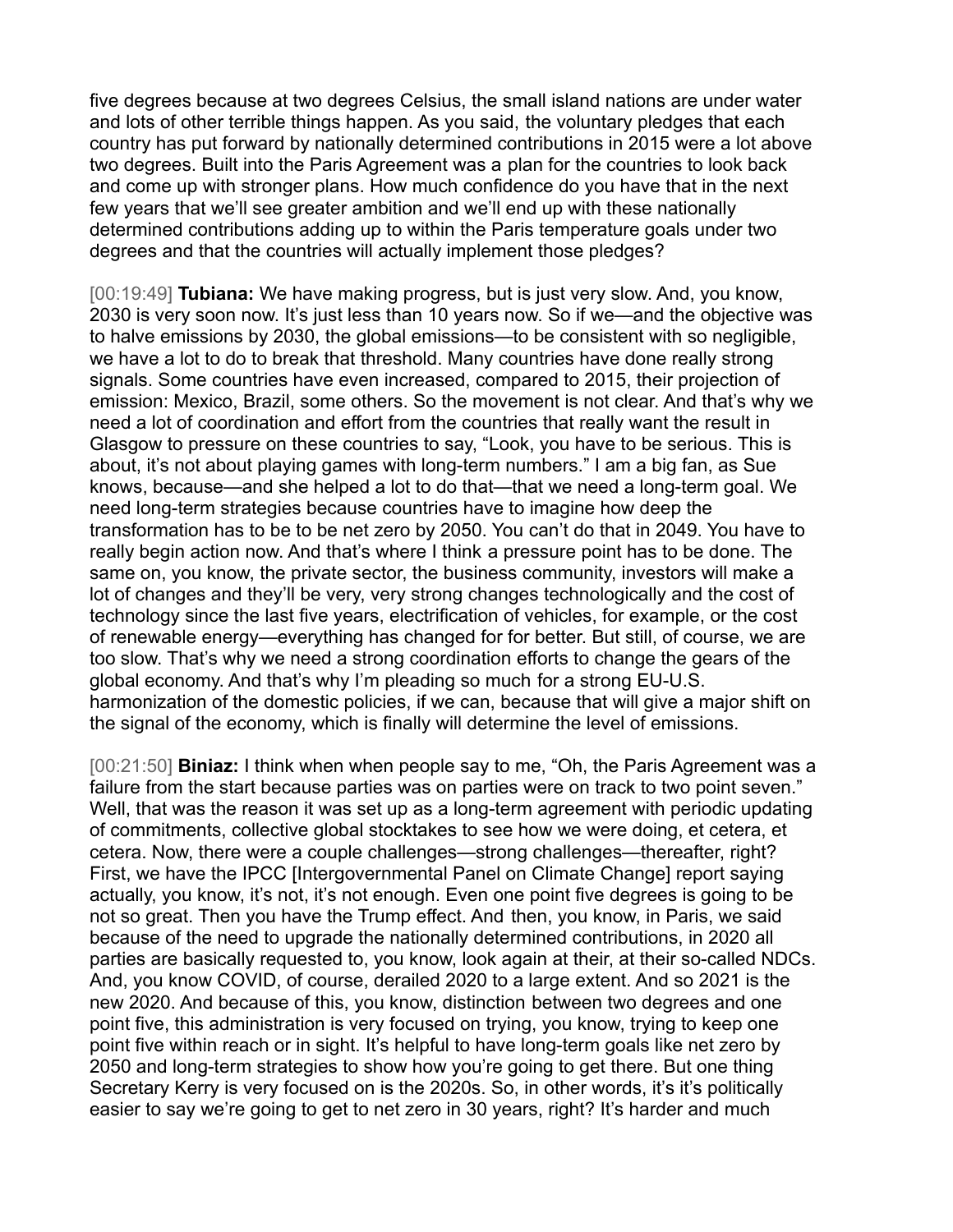five degrees because at two degrees Celsius, the small island nations are under water and lots of other terrible things happen. As you said, the voluntary pledges that each country has put forward by nationally determined contributions in 2015 were a lot above two degrees. Built into the Paris Agreement was a plan for the countries to look back and come up with stronger plans. How much confidence do you have that in the next few years that we'll see greater ambition and we'll end up with these nationally determined contributions adding up to within the Paris temperature goals under two degrees and that the countries will actually implement those pledges?

[00:19:49] **Tubiana:** We have making progress, but is just very slow. And, you know, 2030 is very soon now. It's just less than 10 years now. So if we—and the objective was to halve emissions by 2030, the global emissions—to be consistent with so negligible, we have a lot to do to break that threshold. Many countries have done really strong signals. Some countries have even increased, compared to 2015, their projection of emission: Mexico, Brazil, some others. So the movement is not clear. And that's why we need a lot of coordination and effort from the countries that really want the result in Glasgow to pressure on these countries to say, "Look, you have to be serious. This is about, it's not about playing games with long-term numbers." I am a big fan, as Sue knows, because—and she helped a lot to do that—that we need a long-term goal. We need long-term strategies because countries have to imagine how deep the transformation has to be to be net zero by 2050. You can't do that in 2049. You have to really begin action now. And that's where I think a pressure point has to be done. The same on, you know, the private sector, the business community, investors will make a lot of changes and they'll be very, very strong changes technologically and the cost of technology since the last five years, electrification of vehicles, for example, or the cost of renewable energy—everything has changed for for better. But still, of course, we are too slow. That's why we need a strong coordination efforts to change the gears of the global economy. And that's why I'm pleading so much for a strong EU-U.S. harmonization of the domestic policies, if we can, because that will give a major shift on the signal of the economy, which is finally will determine the level of emissions.

[00:21:50] **Biniaz:** I think when when people say to me, "Oh, the Paris Agreement was a failure from the start because parties was on parties were on track to two point seven." Well, that was the reason it was set up as a long-term agreement with periodic updating of commitments, collective global stocktakes to see how we were doing, et cetera, et cetera. Now, there were a couple challenges—strong challenges—thereafter, right? First, we have the IPCC [Intergovernmental Panel on Climate Change] report saying actually, you know, it's not, it's not enough. Even one point five degrees is going to be not so great. Then you have the Trump effect. And then, you know, in Paris, we said because of the need to upgrade the nationally determined contributions, in 2020 all parties are basically requested to, you know, look again at their, at their so-called NDCs. And, you know COVID, of course, derailed 2020 to a large extent. And so 2021 is the new 2020. And because of this, you know, distinction between two degrees and one point five, this administration is very focused on trying, you know, trying to keep one point five within reach or in sight. It's helpful to have long-term goals like net zero by 2050 and long-term strategies to show how you're going to get there. But one thing Secretary Kerry is very focused on is the 2020s. So, in other words, it's it's politically easier to say we're going to get to net zero in 30 years, right? It's harder and much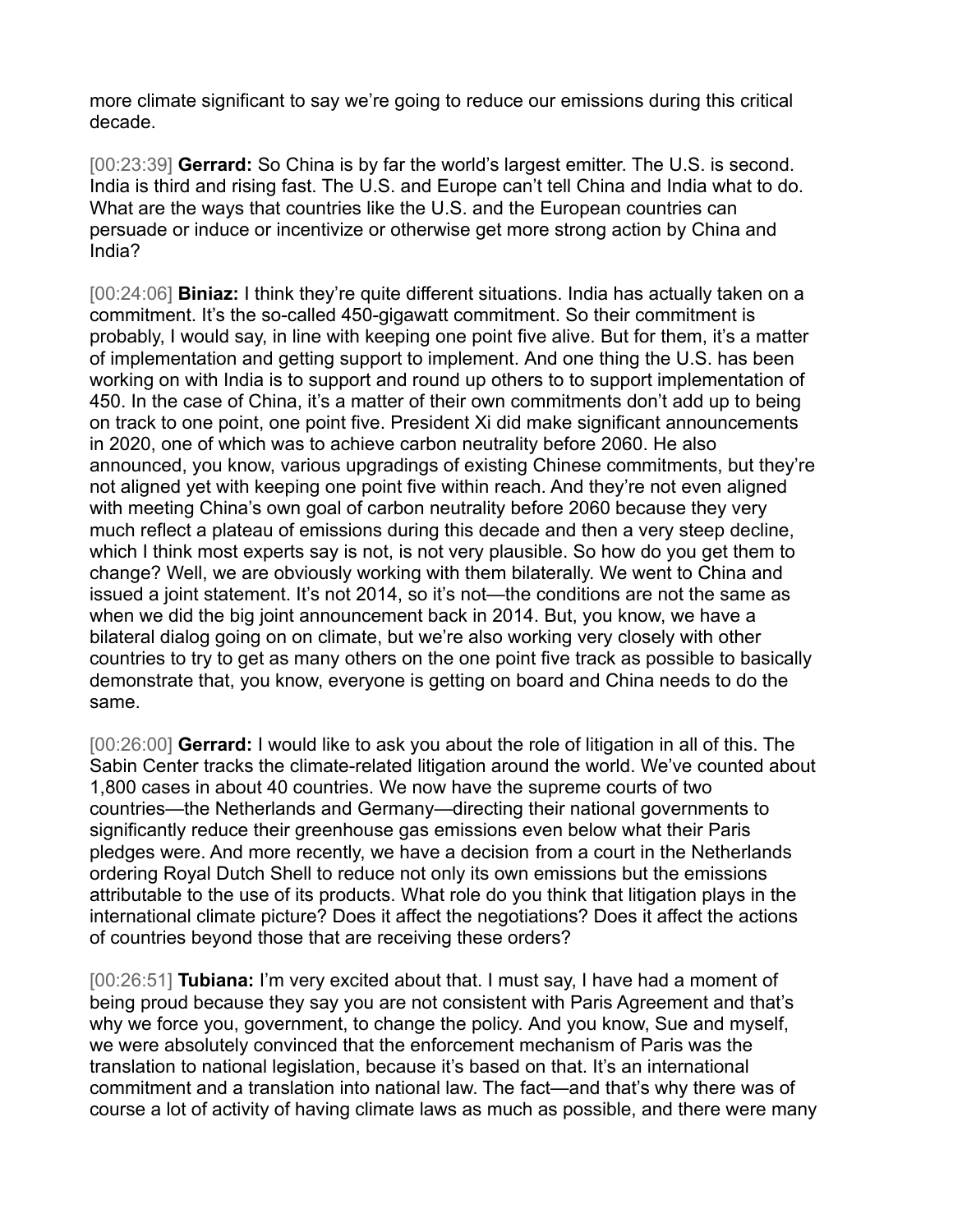more climate significant to say we're going to reduce our emissions during this critical decade.

[00:23:39] **Gerrard:** So China is by far the world's largest emitter. The U.S. is second. India is third and rising fast. The U.S. and Europe can't tell China and India what to do. What are the ways that countries like the U.S. and the European countries can persuade or induce or incentivize or otherwise get more strong action by China and India?

[00:24:06] **Biniaz:** I think they're quite different situations. India has actually taken on a commitment. It's the so-called 450-gigawatt commitment. So their commitment is probably, I would say, in line with keeping one point five alive. But for them, it's a matter of implementation and getting support to implement. And one thing the U.S. has been working on with India is to support and round up others to to support implementation of 450. In the case of China, it's a matter of their own commitments don't add up to being on track to one point, one point five. President Xi did make significant announcements in 2020, one of which was to achieve carbon neutrality before 2060. He also announced, you know, various upgradings of existing Chinese commitments, but they're not aligned yet with keeping one point five within reach. And they're not even aligned with meeting China's own goal of carbon neutrality before 2060 because they very much reflect a plateau of emissions during this decade and then a very steep decline, which I think most experts say is not, is not very plausible. So how do you get them to change? Well, we are obviously working with them bilaterally. We went to China and issued a joint statement. It's not 2014, so it's not—the conditions are not the same as when we did the big joint announcement back in 2014. But, you know, we have a bilateral dialog going on on climate, but we're also working very closely with other countries to try to get as many others on the one point five track as possible to basically demonstrate that, you know, everyone is getting on board and China needs to do the same.

[00:26:00] **Gerrard:** I would like to ask you about the role of litigation in all of this. The Sabin Center tracks the climate-related litigation around the world. We've counted about 1,800 cases in about 40 countries. We now have the supreme courts of two countries—the Netherlands and Germany—directing their national governments to significantly reduce their greenhouse gas emissions even below what their Paris pledges were. And more recently, we have a decision from a court in the Netherlands ordering Royal Dutch Shell to reduce not only its own emissions but the emissions attributable to the use of its products. What role do you think that litigation plays in the international climate picture? Does it affect the negotiations? Does it affect the actions of countries beyond those that are receiving these orders?

[00:26:51] **Tubiana:** I'm very excited about that. I must say, I have had a moment of being proud because they say you are not consistent with Paris Agreement and that's why we force you, government, to change the policy. And you know, Sue and myself, we were absolutely convinced that the enforcement mechanism of Paris was the translation to national legislation, because it's based on that. It's an international commitment and a translation into national law. The fact—and that's why there was of course a lot of activity of having climate laws as much as possible, and there were many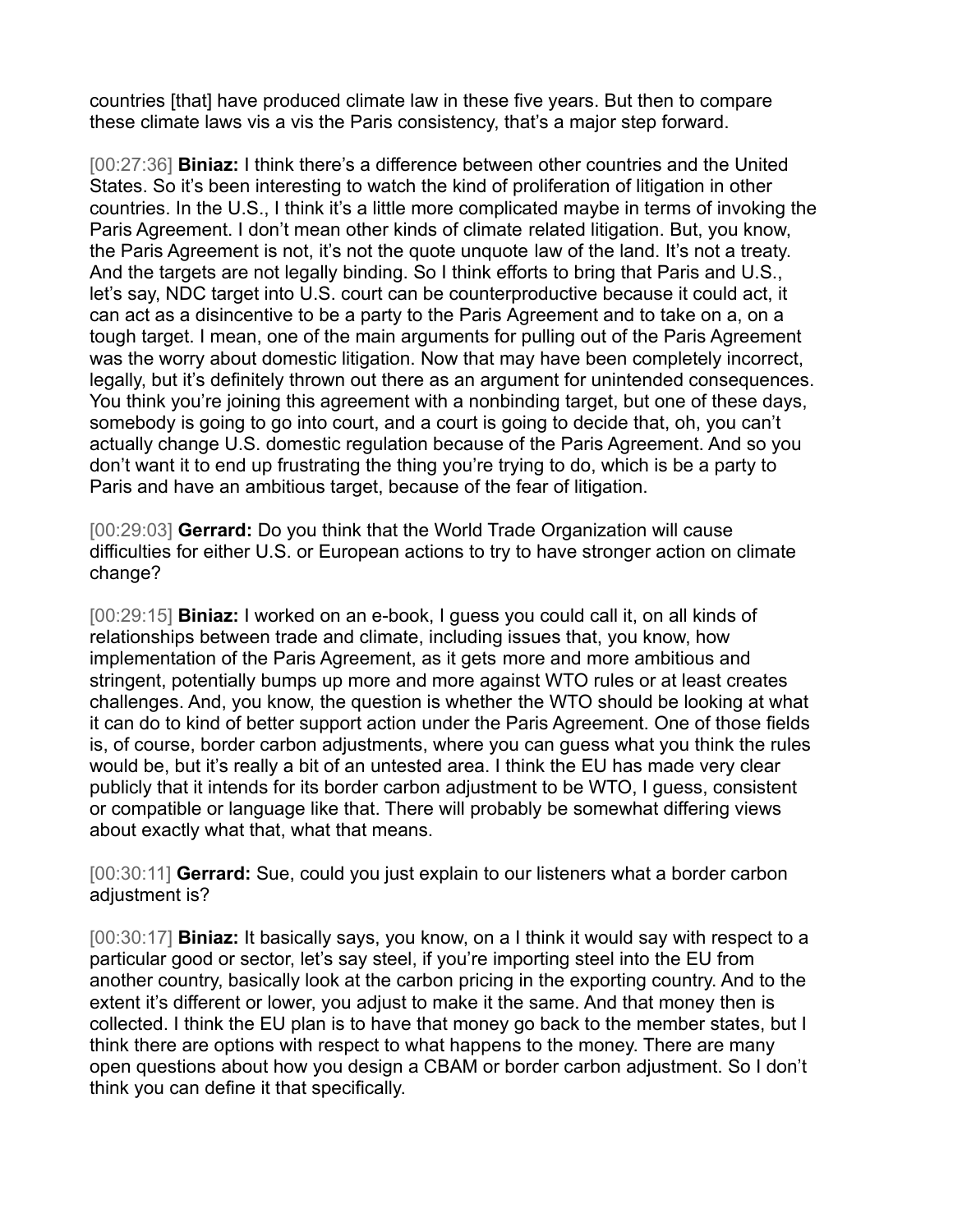countries [that] have produced climate law in these five years. But then to compare these climate laws vis a vis the Paris consistency, that's a major step forward.

[00:27:36] **Biniaz:** I think there's a difference between other countries and the United States. So it's been interesting to watch the kind of proliferation of litigation in other countries. In the U.S., I think it's a little more complicated maybe in terms of invoking the Paris Agreement. I don't mean other kinds of climate related litigation. But, you know, the Paris Agreement is not, it's not the quote unquote law of the land. It's not a treaty. And the targets are not legally binding. So I think efforts to bring that Paris and U.S., let's say, NDC target into U.S. court can be counterproductive because it could act, it can act as a disincentive to be a party to the Paris Agreement and to take on a, on a tough target. I mean, one of the main arguments for pulling out of the Paris Agreement was the worry about domestic litigation. Now that may have been completely incorrect, legally, but it's definitely thrown out there as an argument for unintended consequences. You think you're joining this agreement with a nonbinding target, but one of these days, somebody is going to go into court, and a court is going to decide that, oh, you can't actually change U.S. domestic regulation because of the Paris Agreement. And so you don't want it to end up frustrating the thing you're trying to do, which is be a party to Paris and have an ambitious target, because of the fear of litigation.

[00:29:03] **Gerrard:** Do you think that the World Trade Organization will cause difficulties for either U.S. or European actions to try to have stronger action on climate change?

[00:29:15] **Biniaz:** I worked on an e-book, I guess you could call it, on all kinds of relationships between trade and climate, including issues that, you know, how implementation of the Paris Agreement, as it gets more and more ambitious and stringent, potentially bumps up more and more against WTO rules or at least creates challenges. And, you know, the question is whether the WTO should be looking at what it can do to kind of better support action under the Paris Agreement. One of those fields is, of course, border carbon adjustments, where you can guess what you think the rules would be, but it's really a bit of an untested area. I think the EU has made very clear publicly that it intends for its border carbon adjustment to be WTO, I guess, consistent or compatible or language like that. There will probably be somewhat differing views about exactly what that, what that means.

[00:30:11] **Gerrard:** Sue, could you just explain to our listeners what a border carbon adjustment is?

[00:30:17] **Biniaz:** It basically says, you know, on a I think it would say with respect to a particular good or sector, let's say steel, if you're importing steel into the EU from another country, basically look at the carbon pricing in the exporting country. And to the extent it's different or lower, you adjust to make it the same. And that money then is collected. I think the EU plan is to have that money go back to the member states, but I think there are options with respect to what happens to the money. There are many open questions about how you design a CBAM or border carbon adjustment. So I don't think you can define it that specifically.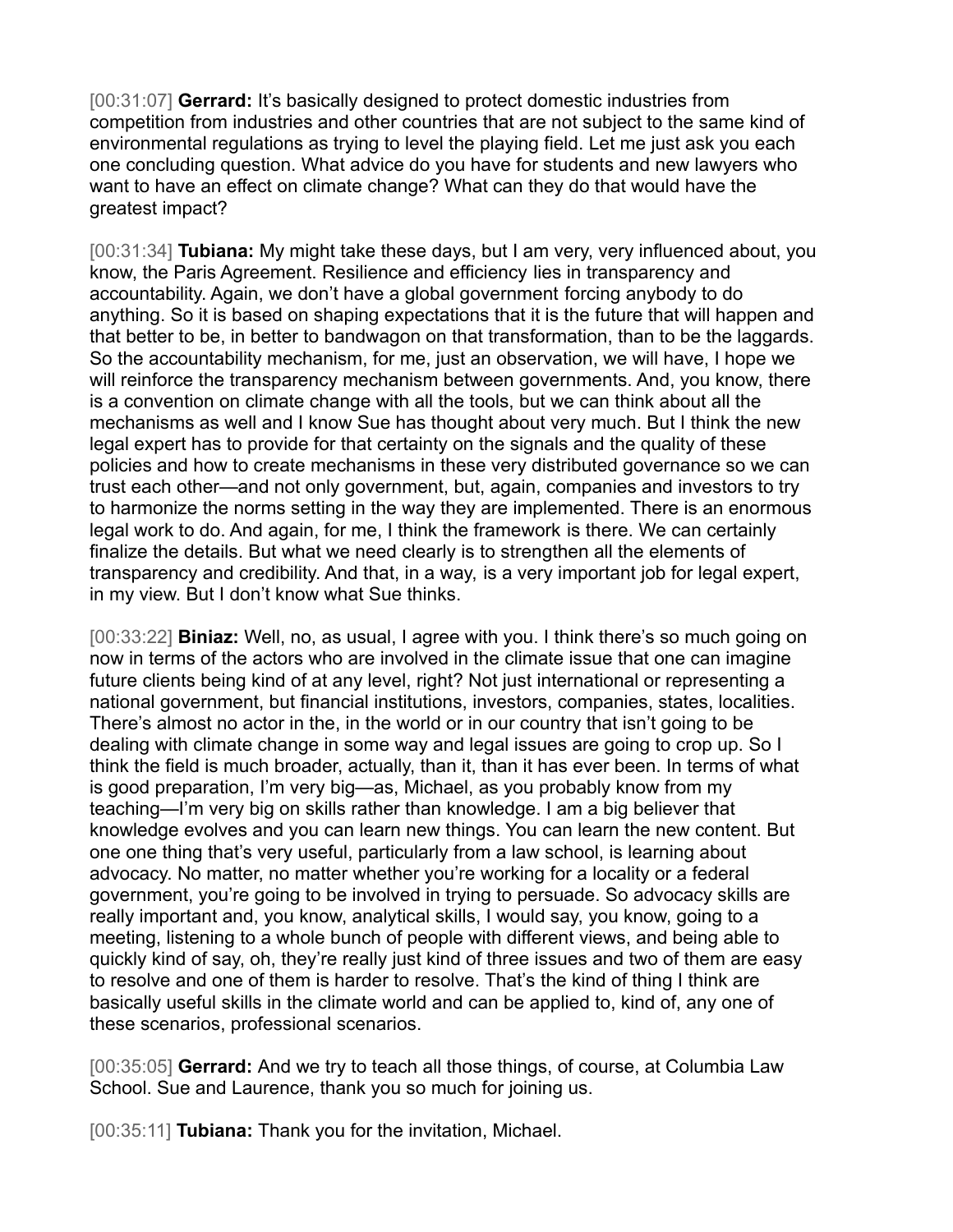[00:31:07] **Gerrard:** It's basically designed to protect domestic industries from competition from industries and other countries that are not subject to the same kind of environmental regulations as trying to level the playing field. Let me just ask you each one concluding question. What advice do you have for students and new lawyers who want to have an effect on climate change? What can they do that would have the greatest impact?

[00:31:34] **Tubiana:** My might take these days, but I am very, very influenced about, you know, the Paris Agreement. Resilience and efficiency lies in transparency and accountability. Again, we don't have a global government forcing anybody to do anything. So it is based on shaping expectations that it is the future that will happen and that better to be, in better to bandwagon on that transformation, than to be the laggards. So the accountability mechanism, for me, just an observation, we will have, I hope we will reinforce the transparency mechanism between governments. And, you know, there is a convention on climate change with all the tools, but we can think about all the mechanisms as well and I know Sue has thought about very much. But I think the new legal expert has to provide for that certainty on the signals and the quality of these policies and how to create mechanisms in these very distributed governance so we can trust each other—and not only government, but, again, companies and investors to try to harmonize the norms setting in the way they are implemented. There is an enormous legal work to do. And again, for me, I think the framework is there. We can certainly finalize the details. But what we need clearly is to strengthen all the elements of transparency and credibility. And that, in a way, is a very important job for legal expert, in my view. But I don't know what Sue thinks.

[00:33:22] **Biniaz:** Well, no, as usual, I agree with you. I think there's so much going on now in terms of the actors who are involved in the climate issue that one can imagine future clients being kind of at any level, right? Not just international or representing a national government, but financial institutions, investors, companies, states, localities. There's almost no actor in the, in the world or in our country that isn't going to be dealing with climate change in some way and legal issues are going to crop up. So I think the field is much broader, actually, than it, than it has ever been. In terms of what is good preparation, I'm very big—as, Michael, as you probably know from my teaching—I'm very big on skills rather than knowledge. I am a big believer that knowledge evolves and you can learn new things. You can learn the new content. But one one thing that's very useful, particularly from a law school, is learning about advocacy. No matter, no matter whether you're working for a locality or a federal government, you're going to be involved in trying to persuade. So advocacy skills are really important and, you know, analytical skills, I would say, you know, going to a meeting, listening to a whole bunch of people with different views, and being able to quickly kind of say, oh, they're really just kind of three issues and two of them are easy to resolve and one of them is harder to resolve. That's the kind of thing I think are basically useful skills in the climate world and can be applied to, kind of, any one of these scenarios, professional scenarios.

[00:35:05] **Gerrard:** And we try to teach all those things, of course, at Columbia Law School. Sue and Laurence, thank you so much for joining us.

[00:35:11] **Tubiana:** Thank you for the invitation, Michael.